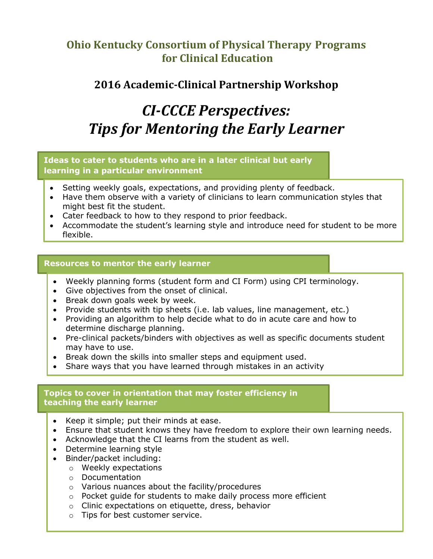# **Ohio Kentucky Consortium of Physical Therapy Programs for Clinical Education**

# **2016 Academic-Clinical Partnership Workshop**

# *CI-CCCE Perspectives: Tips for Mentoring the Early Learner*

# **Ideas to cater to students who are in a later clinical but early learning in a particular environment**

- Setting weekly goals, expectations, and providing plenty of feedback.
- Have them observe with a variety of clinicians to learn communication styles that might best fit the student.
- Cater feedback to how to they respond to prior feedback.
- Accommodate the student's learning style and introduce need for student to be more flexible.

# **Resources to mentor the early learner**

- Weekly planning forms (student form and CI Form) using CPI terminology.
- Give objectives from the onset of clinical.
- Break down goals week by week.
- Provide students with tip sheets (i.e. lab values, line management, etc.)
- Providing an algorithm to help decide what to do in acute care and how to determine discharge planning.
- Pre-clinical packets/binders with objectives as well as specific documents student may have to use.
- Break down the skills into smaller steps and equipment used.
- Share ways that you have learned through mistakes in an activity

### **Topics to cover in orientation that may foster efficiency in teaching the early learner**

- Keep it simple; put their minds at ease.
- Ensure that student knows they have freedom to explore their own learning needs.
- Acknowledge that the CI learns from the student as well.
- Determine learning style
- Binder/packet including:
	- o Weekly expectations
	- o Documentation
	- o Various nuances about the facility/procedures
	- o Pocket guide for students to make daily process more efficient
	- o Clinic expectations on etiquette, dress, behavior
	- o Tips for best customer service.